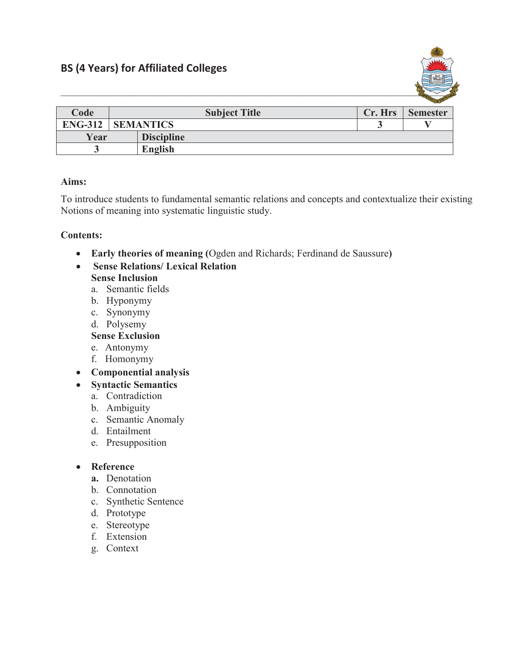

|                |                      |                   |         | <b>Security of the Second Second</b> |
|----------------|----------------------|-------------------|---------|--------------------------------------|
| Code           | <b>Subject Title</b> |                   | Cr. Hrs | <b>Semester</b>                      |
| <b>ENG-312</b> | <b>SEMANTICS</b>     |                   |         |                                      |
| Year           |                      | <b>Discipline</b> |         |                                      |
|                |                      | <b>English</b>    |         |                                      |

# **Aims:**

To introduce students to fundamental semantic relations and concepts and contextualize their existing Notions of meaning into systematic linguistic study.

### **Contents:**

- x **Early theories of meaning (**Ogden and Richards; Ferdinand de Saussure**)**
- x **Sense Relations/ Lexical Relation Sense Inclusion**
	- a. Semantic fields
	- b. Hyponymy
	- c. Synonymy
	- d. Polysemy

## **Sense Exclusion**

- e. Antonymy
- f. Homonymy
- x **Componential analysis**
- x **Syntactic Semantics**
	- a. Contradiction
	- b. Ambiguity
	- c. Semantic Anomaly
	- d. Entailment
	- e. Presupposition

#### **•** Reference

- **a.** Denotation
- b. Connotation
- c. Synthetic Sentence
- d. Prototype
- e. Stereotype
- f. Extension
- g. Context